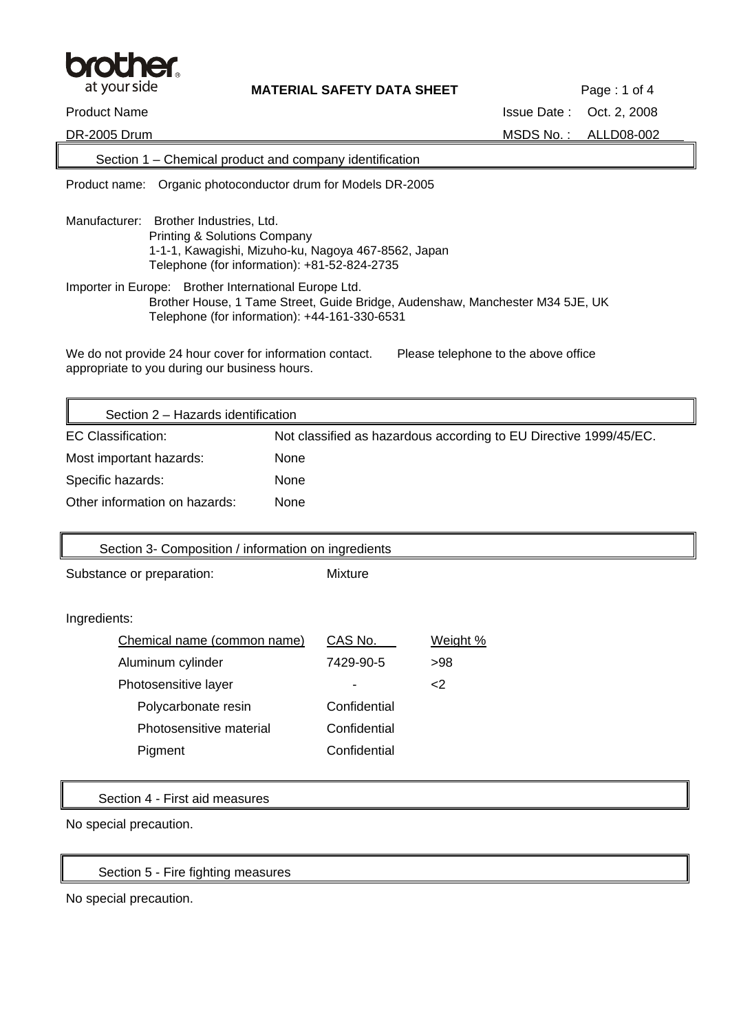

DR-2005 Drum MSDS No.: ALLD08-002

### Section 1 – Chemical product and company identification

Product name: Organic photoconductor drum for Models DR-2005

- Manufacturer: Brother Industries, Ltd. Printing & Solutions Company 1-1-1, Kawagishi, Mizuho-ku, Nagoya 467-8562, Japan Telephone (for information): +81-52-824-2735
- Importer in Europe: Brother International Europe Ltd. Brother House, 1 Tame Street, Guide Bridge, Audenshaw, Manchester M34 5JE, UK Telephone (for information): +44-161-330-6531

We do not provide 24 hour cover for information contact. Please telephone to the above office appropriate to you during our business hours.

| Section 2 - Hazards identification |                                                                   |  |
|------------------------------------|-------------------------------------------------------------------|--|
| EC Classification:                 | Not classified as hazardous according to EU Directive 1999/45/EC. |  |
| Most important hazards:            | None                                                              |  |
| Specific hazards:                  | <b>None</b>                                                       |  |
| Other information on hazards:      | None                                                              |  |

| Section 3- Composition / information on ingredients |                |          |
|-----------------------------------------------------|----------------|----------|
| Substance or preparation:                           | <b>Mixture</b> |          |
|                                                     |                |          |
| Ingredients:                                        |                |          |
| Chemical name (common name)                         | CAS No.        | Weight % |
| Aluminum cylinder                                   | 7429-90-5      | >98      |
| Photosensitive layer                                |                | $<$ 2    |
| Polycarbonate resin                                 | Confidential   |          |
| Photosensitive material                             | Confidential   |          |
| Pigment                                             | Confidential   |          |
|                                                     |                |          |
| Section 4 - First aid measures                      |                |          |
|                                                     |                |          |

No special precaution.

Section 5 - Fire fighting measures

No special precaution.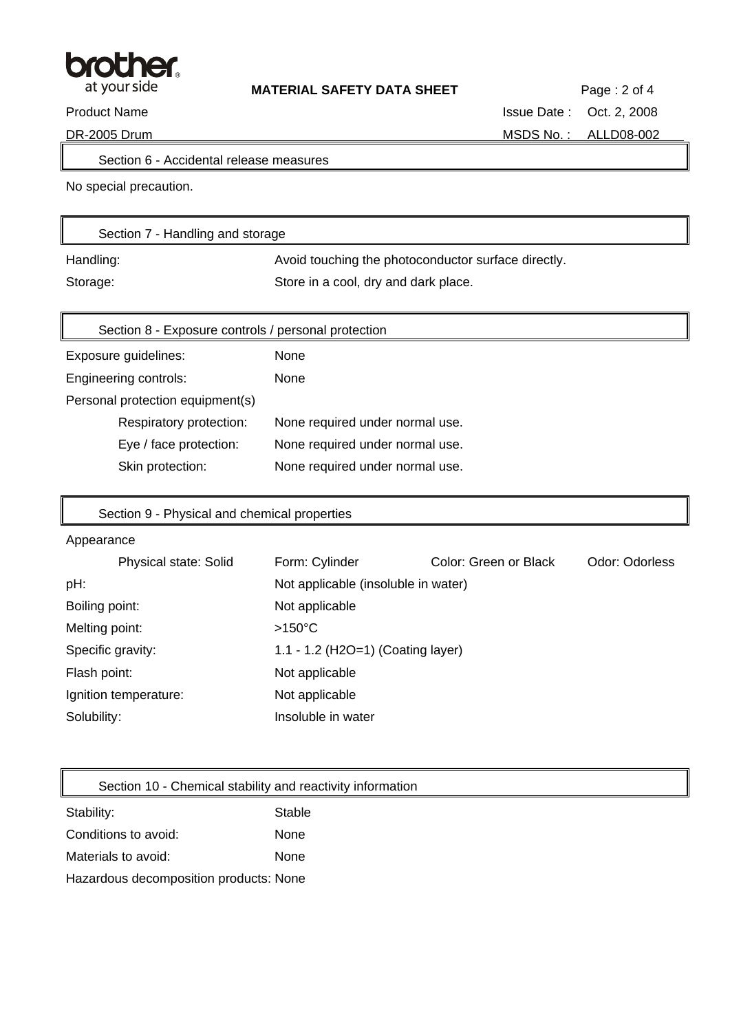

Section 6 - Accidental release measures

No special precaution.

| Section 7 - Handling and storage |                                                     |
|----------------------------------|-----------------------------------------------------|
| Handling:                        | Avoid touching the photoconductor surface directly. |
| Storage:                         | Store in a cool, dry and dark place.                |

| Section 8 - Exposure controls / personal protection |                                 |  |
|-----------------------------------------------------|---------------------------------|--|
| Exposure guidelines:                                | None                            |  |
| Engineering controls:                               | None                            |  |
| Personal protection equipment(s)                    |                                 |  |
| Respiratory protection:                             | None required under normal use. |  |
| Eye / face protection:                              | None required under normal use. |  |
| Skin protection:                                    | None required under normal use. |  |

# Section 9 - Physical and chemical properties

#### Appearance

 $\mathbb{F}$ 

| Physical state: Solid | Form: Cylinder                      | Color: Green or Black | Odor: Odorless |
|-----------------------|-------------------------------------|-----------------------|----------------|
| pH:                   | Not applicable (insoluble in water) |                       |                |
| Boiling point:        | Not applicable                      |                       |                |
| Melting point:        | $>150^{\circ}$ C                    |                       |                |
| Specific gravity:     | 1.1 - 1.2 (H2O=1) (Coating layer)   |                       |                |
| Flash point:          | Not applicable                      |                       |                |
| Ignition temperature: | Not applicable                      |                       |                |
| Solubility:           | Insoluble in water                  |                       |                |

Section 10 - Chemical stability and reactivity information

| Stability:                             | Stable |
|----------------------------------------|--------|
| Conditions to avoid:                   | None   |
| Materials to avoid:                    | None   |
| Hazardous decomposition products: None |        |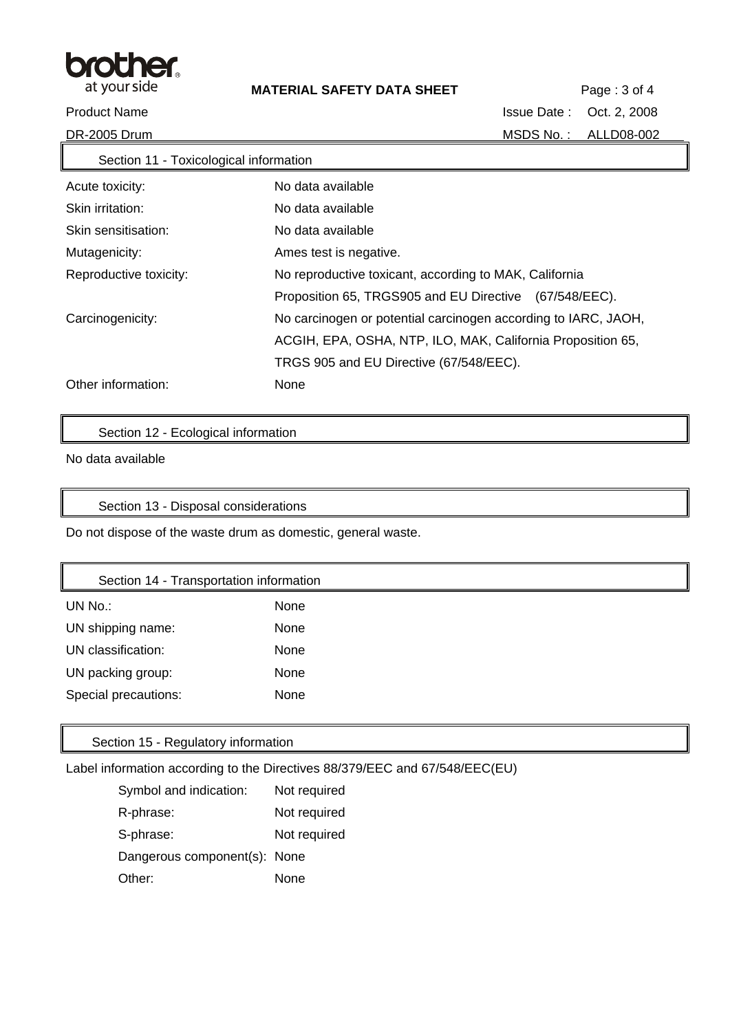

| Section 11 - Toxicological information |                                                                |
|----------------------------------------|----------------------------------------------------------------|
| Acute toxicity:                        | No data available                                              |
| Skin irritation:                       | No data available                                              |
| Skin sensitisation:                    | No data available                                              |
| Mutagenicity:                          | Ames test is negative.                                         |
| Reproductive toxicity:                 | No reproductive toxicant, according to MAK, California         |
|                                        | Proposition 65, TRGS905 and EU Directive (67/548/EEC).         |
| Carcinogenicity:                       | No carcinogen or potential carcinogen according to IARC, JAOH, |
|                                        | ACGIH, EPA, OSHA, NTP, ILO, MAK, California Proposition 65,    |
|                                        | TRGS 905 and EU Directive (67/548/EEC).                        |
| Other information:                     | None                                                           |

Section 12 - Ecological information

No data available

Section 13 - Disposal considerations

Do not dispose of the waste drum as domestic, general waste.

# Section 14 - Transportation information

| UN No.:              | None |
|----------------------|------|
| UN shipping name:    | None |
| UN classification:   | None |
| UN packing group:    | None |
| Special precautions: | None |

## Section 15 - Regulatory information

Label information according to the Directives 88/379/EEC and 67/548/EEC(EU)

| Symbol and indication:       | Not required |
|------------------------------|--------------|
| R-phrase:                    | Not required |
| S-phrase:                    | Not required |
| Dangerous component(s): None |              |
| Other:                       | None         |